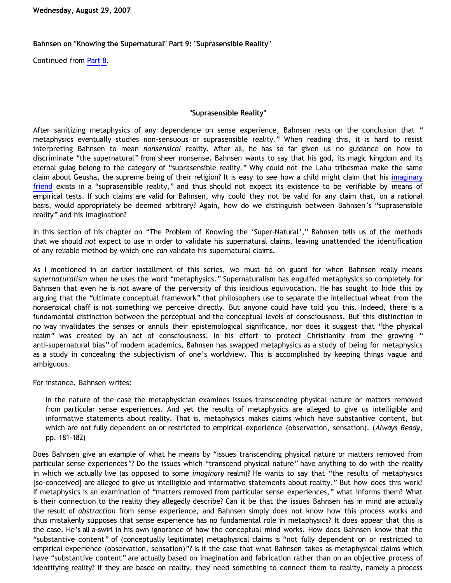## **Bahnsen on "Knowing the Supernatural" Part 9: "Suprasensible Reality"**

Continued from [Part 8.](http://bahnsenburner.blogspot.com/2007/08/bahnsen-on-knowing-supernatural-part-8.html)

## **"Suprasensible Reality"**

After sanitizing metaphysics of any dependence on sense experience, Bahnsen rests on the conclusion that " metaphysics eventually studies non-sensuous or suprasensible reality." When reading this, it is hard to resist interpreting Bahnsen to mean *nonsensical* reality. After all, he has so far given us no guidance on how to discriminate "the supernatural" from sheer nonsense. Bahnsen wants to say that his god, its magic kingdom and its eternal gulag belong to the category of "suprasensible reality." Why could not the Lahu tribesman make the same claim about Geusha, the supreme being of their religion? It is easy to see how a child might claim that his [imaginary](http://bahnsenburner.blogspot.com/2006/08/christianity-imaginary-friends-network.html) [friend](http://bahnsenburner.blogspot.com/2006/08/christianity-imaginary-friends-network.html) exists in a "suprasensible reality," and thus should not expect its existence to be verifiable by means of empirical tests. If such claims are valid for Bahnsen, why could they not be valid for any claim that, on a rational basis, would appropriately be deemed arbitrary? Again, how do we distinguish between Bahnsen's "suprasensible reality" and his imagination?

In this section of his chapter on "The Problem of Knowing the 'Super-Natural'," Bahnsen tells us of the methods that we should *not* expect to use in order to validate his supernatural claims, leaving unattended the identification of any reliable method by which one *can* validate his supernatural claims.

As I mentioned in an earlier installment of this series, we must be on guard for when Bahnsen really means *supernaturalism* when he uses the word "metaphysics." Supernaturalism has engulfed metaphysics so completely for Bahnsen that even he is not aware of the perversity of this insidious equivocation. He has sought to hide this by arguing that the "ultimate conceptual framework" that philosophers use to separate the intellectual wheat from the nonsensical chaff is not something we perceive directly. But anyone could have told you this. Indeed, there is a fundamental distinction between the perceptual and the conceptual levels of consciousness. But this distinction in no way invalidates the senses or annuls their epistemological significance, nor does it suggest that "the physical realm" was created by an act of consciousness. In his effort to protect Christianity from the growing " anti-supernatural bias" of modern academics, Bahnsen has swapped metaphysics as a study of being for metaphysics as a study in concealing the subjectivism of one's worldview. This is accomplished by keeping things vague and ambiguous.

For instance, Bahnsen writes:

In the nature of the case the metaphysician examines issues transcending physical nature or matters removed from particular sense experiences. And yet the results of metaphysics are alleged to give us intelligible and informative statements about reality. That is, metaphysics makes claims which have substantive content, but which are not fully dependent on or restricted to empirical experience (observation, sensation). (*Always Ready*, pp. 181-182)

Does Bahnsen give an example of what he means by "issues transcending physical nature or matters removed from particular sense experiences"? Do the issues which "transcend physical nature" have anything to do with the reality in which we actually live (as opposed to some *imaginary* realm)? He wants to say that "the results of metaphysics [so-conceived] are alleged to give us intelligible and informative statements about reality." But how does this work? If metaphysics is an examination of "matters removed from particular sense experiences," what informs them? What is their connection to the reality they allegedly describe? Can it be that the issues Bahnsen has in mind are actually the result of *abstraction* from sense experience, and Bahnsen simply does not know how this process works and thus mistakenly supposes that sense experience has no fundamental role in metaphysics? It does appear that this is the case. He's all a-swirl in his own ignorance of how the conceptual mind works. How does Bahnsen know that the "substantive content" of (conceptually legitimate) metaphysical claims is "not fully dependent on or restricted to empirical experience (observation, sensation)"? Is it the case that what Bahnsen takes as metaphysical claims which have "substantive content" are actually based on imagination and fabrication rather than on an objective process of identifying reality? If they are based on reality, they need something to connect them to reality, namely a process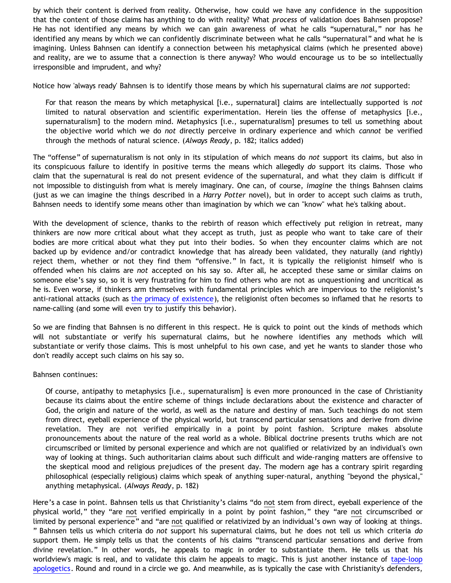by which their content is derived from reality. Otherwise, how could we have any confidence in the supposition that the content of those claims has anything to do with reality? What *process* of validation does Bahnsen propose? He has not identified any means by which we can gain awareness of what he calls "supernatural," nor has he identified any means by which we can confidently discriminate between what he calls "supernatural" and what he is imagining. Unless Bahnsen can identify a connection between his metaphysical claims (which he presented above) and reality, are we to assume that a connection is there anyway? Who would encourage us to be so intellectually irresponsible and imprudent, and why?

Notice how 'always ready' Bahnsen is to identify those means by which his supernatural claims are *not* supported:

For that reason the means by which metaphysical [i.e., supernatural] claims are intellectually supported is *not* limited to natural observation and scientific experimentation. Herein lies the offense of metaphysics [i.e., supernaturalism] to the modern mind. Metaphysics [i.e., supernaturalism] presumes to tell us something about the objective world which we do *not* directly perceive in ordinary experience and which *cannot* be verified through the methods of natural science. (*Always Ready*, p. 182; italics added)

The "offense" of supernaturalism is not only in its stipulation of which means do *not* support its claims, but also in its conspicuous failure to identify in positive terms the means which allegedly *do* support its claims. Those who claim that the supernatural is real do not present evidence of the supernatural, and what they claim is difficult if not impossible to distinguish from what is merely imaginary. One can, of course, *imagine* the things Bahnsen claims (just as we can imagine the things described in a *Harry Potter* novel), but in order to accept such claims as truth, Bahnsen needs to identify some means other than imagination by which we can "know" what he's talking about.

With the development of science, thanks to the rebirth of reason which effectively put religion in retreat, many thinkers are now more critical about what they accept as truth, just as people who want to take care of their bodies are more critical about what they put into their bodies. So when they encounter claims which are not backed up by evidence and/or contradict knowledge that has already been validated, they naturally (and rightly) reject them, whether or not they find them "offensive." In fact, it is typically the religionist himself who is offended when his claims are *not* accepted on his say so. After all, he accepted these same or similar claims on someone else's say so, so it is very frustrating for him to find others who are not as unquestioning and uncritical as he is. Even worse, if thinkers arm themselves with fundamental principles which are impervious to the religionist's anti-rational attacks (such as [the primacy of existence\)](http://bahnsenburner.blogspot.com/2006/12/axioms-and-primacy-of-existence.html), the religionist often becomes so inflamed that he resorts to name-calling (and some will even try to justify this behavior).

So we are finding that Bahnsen is no different in this respect. He is quick to point out the kinds of methods which will not substantiate or verify his supernatural claims, but he nowhere identifies any methods which will substantiate or verify those claims. This is most unhelpful to his own case, and yet he wants to slander those who don't readily accept such claims on his say so.

## Bahnsen continues:

Of course, antipathy to metaphysics [i.e., supernaturalism] is even more pronounced in the case of Christianity because its claims about the entire scheme of things include declarations about the existence and character of God, the origin and nature of the world, as well as the nature and destiny of man. Such teachings do not stem from direct, eyeball experience of the physical world, but transcend particular sensations and derive from divine revelation. They are not verified empirically in a point by point fashion. Scripture makes absolute pronouncements about the nature of the real world as a whole. Biblical doctrine presents truths which are not circumscribed or limited by personal experience and which are not qualified or relativized by an individual's own way of looking at things. Such authoritarian claims about such difficult and wide-ranging matters are offensive to the skeptical mood and religious prejudices of the present day. The modern age has a contrary spirit regarding philosophical (especially religious) claims which speak of anything super-natural, anything "beyond the physical," anything metaphysical. (*Always Ready*, p. 182)

Here's a case in point. Bahnsen tells us that Christianity's claims "do not stem from direct, eyeball experience of the physical world," they "are not verified empirically in a point by point fashion," they "are not circumscribed or limited by personal experience" and "are not qualified or relativized by an individual's own way of looking at things. " Bahnsen tells us which criteria do *not* support his supernatural claims, but he does not tell us which criteria *do* support them. He simply tells us that the contents of his claims "transcend particular sensations and derive from divine revelation." In other words, he appeals to magic in order to substantiate them. He tells us that his worldview's magic is real, and to validate this claim he appeals to magic. This is just another instance of [tape-loop](http://bahnsenburner.blogspot.com/2005/11/tape-loop-apologetics.html) [apologetics](http://bahnsenburner.blogspot.com/2005/11/tape-loop-apologetics.html). Round and round in a circle we go. And meanwhile, as is typically the case with Christianity's defenders,